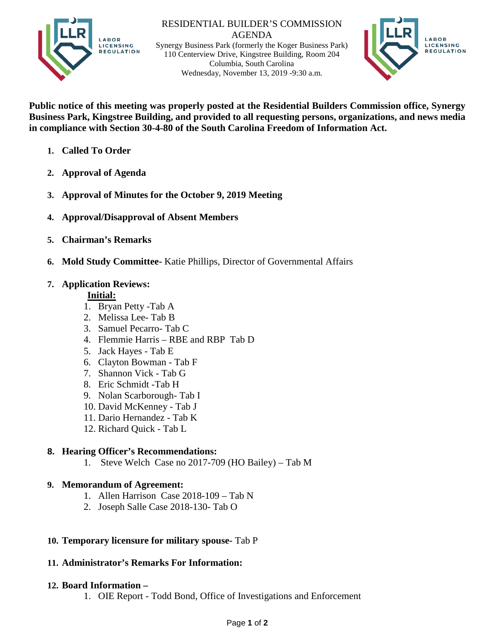

RESIDENTIAL BUILDER'S COMMISSION AGENDA Synergy Business Park (formerly the Koger Business Park) 110 Centerview Drive, Kingstree Building, Room 204 Columbia, South Carolina Wednesday, November 13, 2019 -9:30 a.m.



**Public notice of this meeting was properly posted at the Residential Builders Commission office, Synergy Business Park, Kingstree Building, and provided to all requesting persons, organizations, and news media in compliance with Section 30-4-80 of the South Carolina Freedom of Information Act.**

- **1. Called To Order**
- **2. Approval of Agenda**
- **3. Approval of Minutes for the October 9, 2019 Meeting**
- **4. Approval/Disapproval of Absent Members**
- **5. Chairman's Remarks**
- **6. Mold Study Committee-** Katie Phillips, Director of Governmental Affairs

## **7. Application Reviews:**

### **Initial:**

- 1. Bryan Petty -Tab A
- 2. Melissa Lee- Tab B
- 3. Samuel Pecarro- Tab C
- 4. Flemmie Harris RBE and RBP Tab D
- 5. Jack Hayes Tab E
- 6. Clayton Bowman Tab F
- 7. Shannon Vick Tab G
- 8. Eric Schmidt -Tab H
- 9. Nolan Scarborough- Tab I
- 10. David McKenney Tab J
- 11. Dario Hernandez Tab K
- 12. Richard Quick Tab L

# **8. Hearing Officer's Recommendations:**

1. Steve Welch Case no 2017-709 (HO Bailey) – Tab M

### **9. Memorandum of Agreement:**

- 1. Allen Harrison Case 2018-109 Tab N
- 2. Joseph Salle Case 2018-130- Tab O

# **10. Temporary licensure for military spouse-** Tab P

### **11. Administrator's Remarks For Information:**

### **12. Board Information –**

1. OIE Report - Todd Bond, Office of Investigations and Enforcement